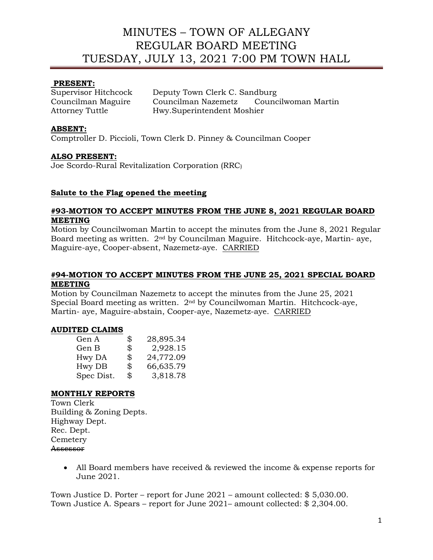# **PRESENT:**

Supervisor Hitchcock Deputy Town Clerk C. Sandburg Councilman Maguire Councilman Nazemetz Councilwoman Martin Attorney Tuttle Hwy.Superintendent Moshier

### **ABSENT:**

Comptroller D. Piccioli, Town Clerk D. Pinney & Councilman Cooper

#### **ALSO PRESENT:**

Joe Scordo-Rural Revitalization Corporation (RRC)

#### **Salute to the Flag opened the meeting**

#### **#93-MOTION TO ACCEPT MINUTES FROM THE JUNE 8, 2021 REGULAR BOARD MEETING**

Motion by Councilwoman Martin to accept the minutes from the June 8, 2021 Regular Board meeting as written. 2nd by Councilman Maguire. Hitchcock-aye, Martin- aye, Maguire-aye, Cooper-absent, Nazemetz-aye. CARRIED

#### **#94-MOTION TO ACCEPT MINUTES FROM THE JUNE 25, 2021 SPECIAL BOARD MEETING**

Motion by Councilman Nazemetz to accept the minutes from the June 25, 2021 Special Board meeting as written. 2nd by Councilwoman Martin. Hitchcock-aye, Martin- aye, Maguire-abstain, Cooper-aye, Nazemetz-aye. CARRIED

# **AUDITED CLAIMS**

| Gen A      | \$<br>28,895.34 |
|------------|-----------------|
| Gen B      | \$<br>2,928.15  |
| Hwy DA     | \$<br>24,772.09 |
| Hwy DB     | \$<br>66,635.79 |
| Spec Dist. | \$<br>3,818.78  |

#### **MONTHLY REPORTS**

Town Clerk Building & Zoning Depts. Highway Dept. Rec. Dept. **Cemetery** Assessor

> • All Board members have received & reviewed the income & expense reports for June 2021.

Town Justice D. Porter – report for June 2021 – amount collected: \$ 5,030.00. Town Justice A. Spears – report for June 2021– amount collected: \$ 2,304.00.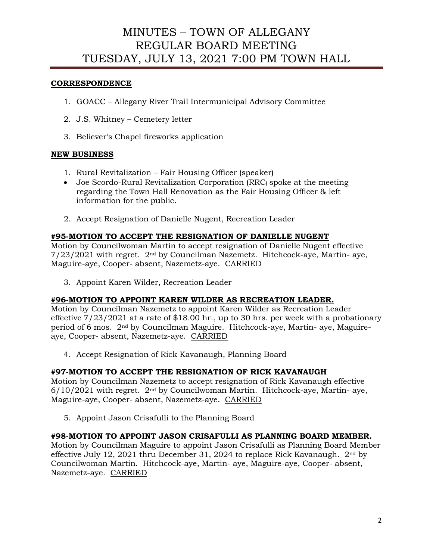# **CORRESPONDENCE**

- 1. GOACC Allegany River Trail Intermunicipal Advisory Committee
- 2. J.S. Whitney Cemetery letter
- 3. Believer's Chapel fireworks application

#### **NEW BUSINESS**

- 1. Rural Revitalization Fair Housing Officer (speaker)
- Joe Scordo-Rural Revitalization Corporation (RRC) spoke at the meeting regarding the Town Hall Renovation as the Fair Housing Officer & left information for the public.
- 2. Accept Resignation of Danielle Nugent, Recreation Leader

#### **#95-MOTION TO ACCEPT THE RESIGNATION OF DANIELLE NUGENT**

Motion by Councilwoman Martin to accept resignation of Danielle Nugent effective 7/23/2021 with regret. 2nd by Councilman Nazemetz. Hitchcock-aye, Martin- aye, Maguire-aye, Cooper- absent, Nazemetz-aye. CARRIED

3. Appoint Karen Wilder, Recreation Leader

#### **#96-MOTION TO APPOINT KAREN WILDER AS RECREATION LEADER.**

Motion by Councilman Nazemetz to appoint Karen Wilder as Recreation Leader effective 7/23/2021 at a rate of \$18.00 hr., up to 30 hrs. per week with a probationary period of 6 mos. 2nd by Councilman Maguire. Hitchcock-aye, Martin- aye, Maguireaye, Cooper- absent, Nazemetz-aye. CARRIED

4. Accept Resignation of Rick Kavanaugh, Planning Board

#### **#97-MOTION TO ACCEPT THE RESIGNATION OF RICK KAVANAUGH**

Motion by Councilman Nazemetz to accept resignation of Rick Kavanaugh effective  $6/10/2021$  with regret. 2<sup>nd</sup> by Councilwoman Martin. Hitchcock-aye, Martin- aye, Maguire-aye, Cooper- absent, Nazemetz-aye. CARRIED

5. Appoint Jason Crisafulli to the Planning Board

#### **#98-MOTION TO APPOINT JASON CRISAFULLI AS PLANNING BOARD MEMBER.**

Motion by Councilman Maguire to appoint Jason Crisafulli as Planning Board Member effective July 12, 2021 thru December 31, 2024 to replace Rick Kavanaugh. 2nd by Councilwoman Martin. Hitchcock-aye, Martin- aye, Maguire-aye, Cooper- absent, Nazemetz-aye. CARRIED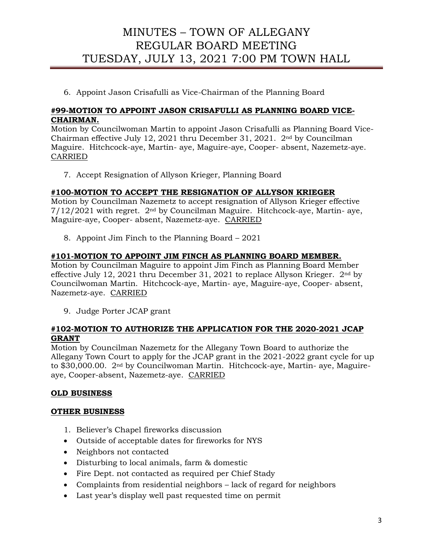6. Appoint Jason Crisafulli as Vice-Chairman of the Planning Board

### **#99-MOTION TO APPOINT JASON CRISAFULLI AS PLANNING BOARD VICE-CHAIRMAN.**

Motion by Councilwoman Martin to appoint Jason Crisafulli as Planning Board Vice-Chairman effective July 12, 2021 thru December 31, 2021.  $2<sup>nd</sup>$  by Councilman Maguire. Hitchcock-aye, Martin- aye, Maguire-aye, Cooper- absent, Nazemetz-aye. CARRIED

7. Accept Resignation of Allyson Krieger, Planning Board

#### **#100-MOTION TO ACCEPT THE RESIGNATION OF ALLYSON KRIEGER**

Motion by Councilman Nazemetz to accept resignation of Allyson Krieger effective 7/12/2021 with regret. 2nd by Councilman Maguire. Hitchcock-aye, Martin- aye, Maguire-aye, Cooper- absent, Nazemetz-aye. CARRIED

8. Appoint Jim Finch to the Planning Board – 2021

# **#101-MOTION TO APPOINT JIM FINCH AS PLANNING BOARD MEMBER.**

Motion by Councilman Maguire to appoint Jim Finch as Planning Board Member effective July 12, 2021 thru December 31, 2021 to replace Allyson Krieger.  $2<sup>nd</sup>$  by Councilwoman Martin. Hitchcock-aye, Martin- aye, Maguire-aye, Cooper- absent, Nazemetz-aye. CARRIED

9. Judge Porter JCAP grant

# **#102-MOTION TO AUTHORIZE THE APPLICATION FOR THE 2020-2021 JCAP GRANT**

Motion by Councilman Nazemetz for the Allegany Town Board to authorize the Allegany Town Court to apply for the JCAP grant in the 2021-2022 grant cycle for up to \$30,000.00. 2nd by Councilwoman Martin. Hitchcock-aye, Martin- aye, Maguireaye, Cooper-absent, Nazemetz-aye. CARRIED

# **OLD BUSINESS**

#### **OTHER BUSINESS**

- 1. Believer's Chapel fireworks discussion
- Outside of acceptable dates for fireworks for NYS
- Neighbors not contacted
- Disturbing to local animals, farm & domestic
- Fire Dept. not contacted as required per Chief Stady
- Complaints from residential neighbors lack of regard for neighbors
- Last year's display well past requested time on permit